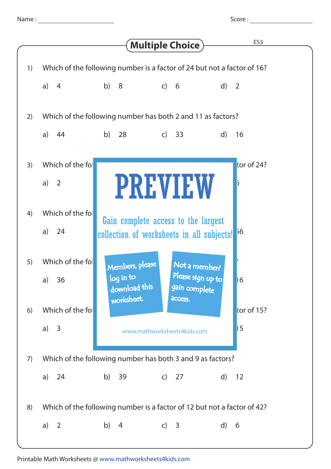|    |                                                                         |                                               | <b>Multiple Choice</b>                                                           | ES <sub>3</sub>                 |  |
|----|-------------------------------------------------------------------------|-----------------------------------------------|----------------------------------------------------------------------------------|---------------------------------|--|
| 1) | Which of the following number is a factor of 24 but not a factor of 16? |                                               |                                                                                  |                                 |  |
|    | a)<br>$\overline{4}$                                                    | b) 8                                          | $\overline{c}$ 6                                                                 | $\mathsf{d}$<br>$\overline{2}$  |  |
| 2) | Which of the following number has both 2 and 11 as factors?             |                                               |                                                                                  |                                 |  |
|    | a)<br>44                                                                | b) $28$                                       | c) 33                                                                            | $\mathsf{d}$<br>16              |  |
| 3) | Which of the fol<br>a)<br>2                                             |                                               | <b>PREVIEW</b>                                                                   | tor of $24$ ?<br>$\overline{5}$ |  |
| 4) | Which of the foll<br>a)<br>24                                           |                                               | Gain complete access to the largest<br>collection of worksheets in all subjects! | 56                              |  |
| 5) | Which of the foll<br>a) $36$                                            | Members, please<br>log in to<br>download this | Not a member?<br>Please sign up to<br>gain complete                              | 16                              |  |
| 6) | Which of the fol                                                        | worksheet.                                    | access.                                                                          | tor of 15?                      |  |
|    | a)<br>$\overline{3}$                                                    | www.mathworksheets4kids.com                   | 15                                                                               |                                 |  |
| 7) | Which of the following number has both 3 and 9 as factors?              |                                               |                                                                                  |                                 |  |
|    | a)<br>24                                                                | b) 39                                         | c) 27                                                                            | $\mathsf{d}$<br>12              |  |
| 8) | Which of the following number is a factor of 12 but not a factor of 42? |                                               |                                                                                  |                                 |  |
|    | a)<br>2                                                                 | b)<br>4                                       | c) $3$                                                                           | $\mathsf{d}$<br>6               |  |